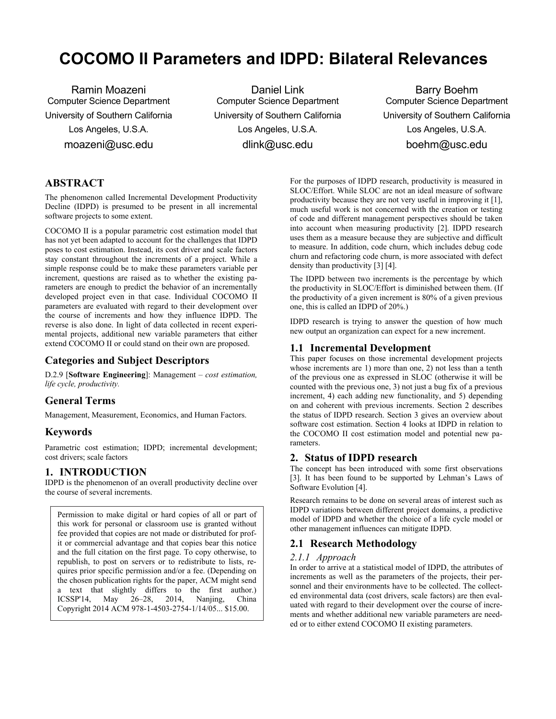# **COCOMO II Parameters and IDPD: Bilateral Relevances**

Ramin Moazeni Computer Science Department University of Southern California Los Angeles, U.S.A. moazeni@usc.edu

Daniel Link Computer Science Department University of Southern California Los Angeles, U.S.A. dlink@usc.edu

Barry Boehm Computer Science Department University of Southern California Los Angeles, U.S.A. boehm@usc.edu

# **ABSTRACT**

The phenomenon called Incremental Development Productivity Decline (IDPD) is presumed to be present in all incremental software projects to some extent.

COCOMO II is a popular parametric cost estimation model that has not yet been adapted to account for the challenges that IDPD poses to cost estimation. Instead, its cost driver and scale factors stay constant throughout the increments of a project. While a simple response could be to make these parameters variable per increment, questions are raised as to whether the existing parameters are enough to predict the behavior of an incrementally developed project even in that case. Individual COCOMO II parameters are evaluated with regard to their development over the course of increments and how they influence IDPD. The reverse is also done. In light of data collected in recent experimental projects, additional new variable parameters that either extend COCOMO II or could stand on their own are proposed.

# **Categories and Subject Descriptors**

D.2.9 [**Software Engineering**]: Management – *cost estimation, life cycle, productivity.* 

# **General Terms**

Management, Measurement, Economics, and Human Factors.

# **Keywords**

Parametric cost estimation; IDPD; incremental development; cost drivers; scale factors

# **1. INTRODUCTION**

IDPD is the phenomenon of an overall productivity decline over the course of several increments.

Permission to make digital or hard copies of all or part of this work for personal or classroom use is granted without fee provided that copies are not made or distributed for profit or commercial advantage and that copies bear this notice and the full citation on the first page. To copy otherwise, to republish, to post on servers or to redistribute to lists, requires prior specific permission and/or a fee. (Depending on the chosen publication rights for the paper, ACM might send a text that slightly differs to the first author.) ICSSP'14, May 26–28, 2014, Nanjing, China Copyright 2014 ACM 978-1-4503-2754-1/14/05... \$15.00.

For the purposes of IDPD research, productivity is measured in SLOC/Effort. While SLOC are not an ideal measure of software productivity because they are not very useful in improving it [1], much useful work is not concerned with the creation or testing of code and different management perspectives should be taken into account when measuring productivity [2]. IDPD research uses them as a measure because they are subjective and difficult to measure. In addition, code churn, which includes debug code churn and refactoring code churn, is more associated with defect density than productivity [3] [4].

The IDPD between two increments is the percentage by which the productivity in SLOC/Effort is diminished between them. (If the productivity of a given increment is 80% of a given previous one, this is called an IDPD of 20%.)

IDPD research is trying to answer the question of how much new output an organization can expect for a new increment.

# **1.1 Incremental Development**

This paper focuses on those incremental development projects whose increments are 1) more than one, 2) not less than a tenth of the previous one as expressed in SLOC (otherwise it will be counted with the previous one, 3) not just a bug fix of a previous increment, 4) each adding new functionality, and 5) depending on and coherent with previous increments. Section 2 describes the status of IDPD research. Section 3 gives an overview about software cost estimation. Section 4 looks at IDPD in relation to the COCOMO II cost estimation model and potential new parameters.

# **2. Status of IDPD research**

The concept has been introduced with some first observations [3]. It has been found to be supported by Lehman's Laws of Software Evolution [4].

Research remains to be done on several areas of interest such as IDPD variations between different project domains, a predictive model of IDPD and whether the choice of a life cycle model or other management influences can mitigate IDPD.

# **2.1 Research Methodology**

### *2.1.1 Approach*

In order to arrive at a statistical model of IDPD, the attributes of increments as well as the parameters of the projects, their personnel and their environments have to be collected. The collected environmental data (cost drivers, scale factors) are then evaluated with regard to their development over the course of increments and whether additional new variable parameters are needed or to either extend COCOMO II existing parameters.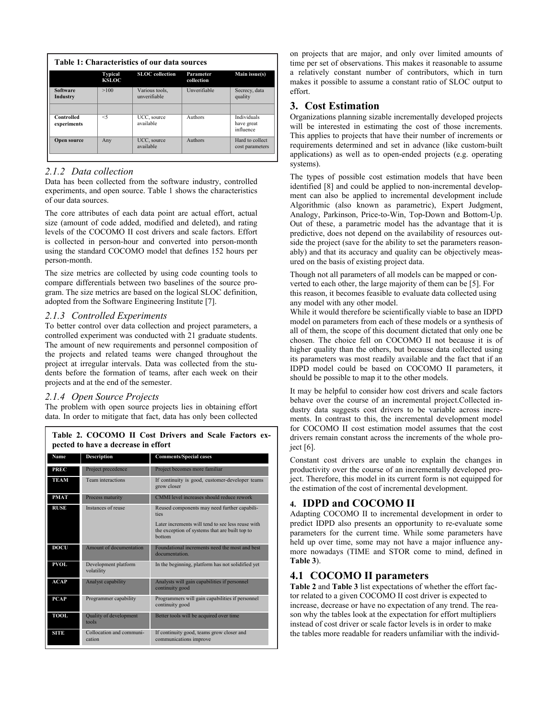| Table 1: Characteristics of our data sources |                                |                                |                         |                                        |  |  |
|----------------------------------------------|--------------------------------|--------------------------------|-------------------------|----------------------------------------|--|--|
|                                              | <b>Typical</b><br><b>KSLOC</b> | <b>SLOC</b> collection         | Parameter<br>collection | Main issue(s)                          |  |  |
| <b>Software</b><br>Industry                  | >100                           | Various tools,<br>unverifiable | Unverifiable            | Secrecy, data<br>quality               |  |  |
|                                              |                                |                                |                         |                                        |  |  |
| <b>Controlled</b><br>experiments             | $<$ 5                          | UCC, source<br>available       | <b>Authors</b>          | Individuals<br>have great<br>influence |  |  |
| Any<br><b>Open source</b>                    |                                | UCC, source<br>available       | Authors                 | Hard to collect<br>cost parameters     |  |  |

## *2.1.2 Data collection*

Data has been collected from the software industry, controlled experiments, and open source. Table 1 shows the characteristics of our data sources.

The core attributes of each data point are actual effort, actual size (amount of code added, modified and deleted), and rating levels of the COCOMO II cost drivers and scale factors. Effort is collected in person-hour and converted into person-month using the standard COCOMO model that defines 152 hours per person-month.

The size metrics are collected by using code counting tools to compare differentials between two baselines of the source program. The size metrics are based on the logical SLOC definition, adopted from the Software Engineering Institute [7].

## *2.1.3 Controlled Experiments*

To better control over data collection and project parameters, a controlled experiment was conducted with 21 graduate students. The amount of new requirements and personnel composition of the projects and related teams were changed throughout the project at irregular intervals. Data was collected from the students before the formation of teams, after each week on their projects and at the end of the semester.

### *2.1.4 Open Source Projects*

The problem with open source projects lies in obtaining effort data. In order to mitigate that fact, data has only been collected

| pecteu to have a uccrease in criore |                                    |                                                                                                                                                                              |  |  |  |  |
|-------------------------------------|------------------------------------|------------------------------------------------------------------------------------------------------------------------------------------------------------------------------|--|--|--|--|
| Name                                | Description                        | <b>Comments/Special cases</b>                                                                                                                                                |  |  |  |  |
| <b>PREC</b>                         | Project precedence                 | Project becomes more familiar                                                                                                                                                |  |  |  |  |
| <b>TEAM</b>                         | Team interactions                  | If continuity is good, customer-developer teams<br>grow closer                                                                                                               |  |  |  |  |
| <b>PMAT</b>                         | Process maturity                   | CMMI level increases should reduce rework                                                                                                                                    |  |  |  |  |
| RUSE                                | Instances of reuse                 | Reused components may need further capabili-<br>ties<br>Later increments will tend to see less reuse with<br>the exception of systems that are built top to<br><b>bottom</b> |  |  |  |  |
| <b>DOCU</b>                         | Amount of documentation            | Foundational increments need the most and best<br>documentation                                                                                                              |  |  |  |  |
| PVOL                                | Development platform<br>volatility | In the beginning, platform has not solidified yet                                                                                                                            |  |  |  |  |
| ACAP                                | Analyst capability                 | Analysts will gain capabilities if personnel<br>continuity good                                                                                                              |  |  |  |  |
| <b>PCAP</b>                         | Programmer capability              | Programmers will gain capabilities if personnel<br>continuity good                                                                                                           |  |  |  |  |
| <b>TOOL</b>                         | Quality of development<br>tools    | Better tools will be acquired over time                                                                                                                                      |  |  |  |  |
| <b>SITE</b>                         | Collocation and communi-<br>cation | If continuity good, teams grow closer and<br>communications improve                                                                                                          |  |  |  |  |

**Table 2. COCOMO II Cost Drivers and Scale Factors expected to have a decrease in effort** 

on projects that are major, and only over limited amounts of time per set of observations. This makes it reasonable to assume a relatively constant number of contributors, which in turn makes it possible to assume a constant ratio of SLOC output to effort.

# **3. Cost Estimation**

Organizations planning sizable incrementally developed projects will be interested in estimating the cost of those increments. This applies to projects that have their number of increments or requirements determined and set in advance (like custom-built applications) as well as to open-ended projects (e.g. operating systems).

The types of possible cost estimation models that have been identified [8] and could be applied to non-incremental development can also be applied to incremental development include Algorithmic (also known as parametric), Expert Judgment, Analogy, Parkinson, Price-to-Win, Top-Down and Bottom-Up. Out of these, a parametric model has the advantage that it is predictive, does not depend on the availability of resources outside the project (save for the ability to set the parameters reasonably) and that its accuracy and quality can be objectively measured on the basis of existing project data.

Though not all parameters of all models can be mapped or converted to each other, the large majority of them can be [5]. For this reason, it becomes feasible to evaluate data collected using any model with any other model.

While it would therefore be scientifically viable to base an IDPD model on parameters from each of these models or a synthesis of all of them, the scope of this document dictated that only one be chosen. The choice fell on COCOMO II not because it is of higher quality than the others, but because data collected using its parameters was most readily available and the fact that if an IDPD model could be based on COCOMO II parameters, it should be possible to map it to the other models.

It may be helpful to consider how cost drivers and scale factors behave over the course of an incremental project.Collected industry data suggests cost drivers to be variable across increments. In contrast to this, the incremental development model for COCOMO II cost estimation model assumes that the cost drivers remain constant across the increments of the whole project  $[6]$ .

Constant cost drivers are unable to explain the changes in productivity over the course of an incrementally developed project. Therefore, this model in its current form is not equipped for the estimation of the cost of incremental development.

# **4. IDPD and COCOMO II**

Adapting COCOMO II to incremental development in order to predict IDPD also presents an opportunity to re-evaluate some parameters for the current time. While some parameters have held up over time, some may not have a major influence anymore nowadays (TIME and STOR come to mind, defined in **Table 3**).

# **4.1 COCOMO II parameters**

**Table 2** and **Table 3** list expectations of whether the effort factor related to a given COCOMO II cost driver is expected to increase, decrease or have no expectation of any trend. The reason why the tables look at the expectation for effort multipliers instead of cost driver or scale factor levels is in order to make the tables more readable for readers unfamiliar with the individ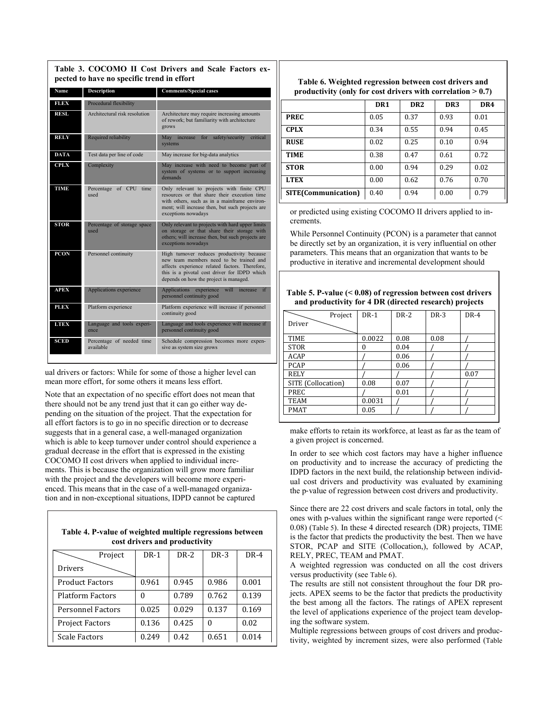**Table 3. COCOMO II Cost Drivers and Scale Factors expected to have no specific trend in effort** 

| Name        | <b>Description</b>                     | <b>Comments/Special cases</b>                                                                                                                                                                                                     |
|-------------|----------------------------------------|-----------------------------------------------------------------------------------------------------------------------------------------------------------------------------------------------------------------------------------|
| <b>FLEX</b> | Procedural flexibility                 |                                                                                                                                                                                                                                   |
| RESL        | Architectural risk resolution          | Architecture may require increasing amounts<br>of rework; but familiarity with architecture<br>grows                                                                                                                              |
| <b>RELY</b> | Required reliability                   | safety/security<br>increase<br>for<br>critical<br>May<br>systems                                                                                                                                                                  |
| <b>DATA</b> | Test data per line of code             | May increase for big-data analytics                                                                                                                                                                                               |
| <b>CPLX</b> | Complexity                             | May increase with need to become part of<br>system of systems or to support increasing<br>demands                                                                                                                                 |
| <b>TIME</b> | Percentage<br>of CPU<br>time<br>used   | Only relevant to projects with finite CPU<br>resources or that share their execution time<br>with others, such as in a mainframe environ-<br>ment; will increase then, but such projects are<br>exceptions nowadays               |
| <b>STOR</b> | Percentage of storage space<br>used    | Only relevant to projects with hard upper limits<br>on storage or that share their storage with<br>others; will increase then, but such projects are<br>exceptions nowadays                                                       |
| <b>PCON</b> | Personnel continuity                   | High turnover reduces productivity because<br>new team members need to be trained and<br>affects experience related factors. Therefore,<br>this is a pivotal cost driver for IDPD which<br>depends on how the project is managed. |
| <b>APEX</b> | Applications experience                | Applications<br>experience<br>will<br>if<br>increase<br>personnel continuity good                                                                                                                                                 |
| <b>PLEX</b> | Platform experience                    | Platform experience will increase if personnel<br>continuity good                                                                                                                                                                 |
| <b>LTEX</b> | Language and tools experi-<br>ence     | Language and tools experience will increase if<br>personnel continuity good                                                                                                                                                       |
| <b>SCED</b> | Percentage of needed time<br>available | Schedule compression becomes more expen-<br>sive as system size grows                                                                                                                                                             |

ual drivers or factors: While for some of those a higher level can mean more effort, for some others it means less effort.

Note that an expectation of no specific effort does not mean that there should not be any trend just that it can go either way depending on the situation of the project. That the expectation for all effort factors is to go in no specific direction or to decrease suggests that in a general case, a well-managed organization which is able to keep turnover under control should experience a gradual decrease in the effort that is expressed in the existing COCOMO II cost drivers when applied to individual increments. This is because the organization will grow more familiar with the project and the developers will become more experienced. This means that in the case of a well-managed organization and in non-exceptional situations, IDPD cannot be captured

| Table 4. P-value of weighted multiple regressions between |
|-----------------------------------------------------------|
| cost drivers and productivity                             |

| Project                  | $DR-1$ | DR-2  | DR-3  | DR-4  |
|--------------------------|--------|-------|-------|-------|
| Drivers                  |        |       |       |       |
| <b>Product Factors</b>   | 0.961  | 0.945 | 0.986 | 0.001 |
| Platform Factors         |        | 0.789 | 0.762 | 0.139 |
| <b>Personnel Factors</b> | 0.025  | 0.029 | 0.137 | 0.169 |
| <b>Project Factors</b>   | 0.136  | 0.425 | 0     | 0.02  |
| <b>Scale Factors</b>     | 0.249  | 0.42  | 0.651 | 0.014 |

#### **Table 6. Weighted regression between cost drivers and productivity (only for cost drivers with correlation > 0.7)**

|                     | DR <sub>1</sub> | DR <sub>2</sub> | DR <sub>3</sub> | DR <sub>4</sub> |
|---------------------|-----------------|-----------------|-----------------|-----------------|
| <b>PREC</b>         | 0.05            | 0.37            | 0.93            | 0.01            |
| <b>CPLX</b>         | 0.34            | 0.55            | 0.94            | 0.45            |
| <b>RUSE</b>         | 0.02            | 0.25            | 0.10            | 0.94            |
| <b>TIME</b>         | 0.38            | 0.47            | 0.61            | 0.72            |
| <b>STOR</b>         | 0.00            | 0.94            | 0.29            | 0.02            |
| <b>LTEX</b>         | 0.00            | 0.62            | 0.76            | 0.70            |
| SITE(Communication) | 0.40            | 0.94            | 0.00            | 0.79            |

or predicted using existing COCOMO II drivers applied to increments.

While Personnel Continuity (PCON) is a parameter that cannot be directly set by an organization, it is very influential on other parameters. This means that an organization that wants to be productive in iterative and incremental development should

#### **Table 5. P-value (< 0.08) of regression between cost drivers and productivity for 4 DR (directed research) projects**

| Project            | $DR-1$ | $DR-2$ | $DR-3$ | $DR-4$ |
|--------------------|--------|--------|--------|--------|
| Driver             |        |        |        |        |
| <b>TIME</b>        | 0.0022 | 0.08   | 0.08   |        |
| <b>STOR</b>        | 0      | 0.04   |        |        |
| <b>ACAP</b>        |        | 0.06   |        |        |
| <b>PCAP</b>        |        | 0.06   |        |        |
| <b>RELY</b>        |        |        |        | 0.07   |
| SITE (Collocation) | 0.08   | 0.07   |        |        |
| PREC               |        | 0.01   |        |        |
| <b>TEAM</b>        | 0.0031 |        |        |        |
| <b>PMAT</b>        | 0.05   |        |        |        |

make efforts to retain its workforce, at least as far as the team of a given project is concerned.

In order to see which cost factors may have a higher influence on productivity and to increase the accuracy of predicting the IDPD factors in the next build, the relationship between individual cost drivers and productivity was evaluated by examining the p-value of regression between cost drivers and productivity.

Since there are 22 cost drivers and scale factors in total, only the ones with p-values within the significant range were reported (< 0.08) (Table 5). In these 4 directed research (DR) projects, TIME is the factor that predicts the productivity the best. Then we have STOR, PCAP and SITE (Collocation,), followed by ACAP, RELY, PREC, TEAM and PMAT.

A weighted regression was conducted on all the cost drivers versus productivity (see Table 6).

The results are still not consistent throughout the four DR projects. APEX seems to be the factor that predicts the productivity the best among all the factors. The ratings of APEX represent the level of applications experience of the project team developing the software system.

Multiple regressions between groups of cost drivers and productivity, weighted by increment sizes, were also performed (Table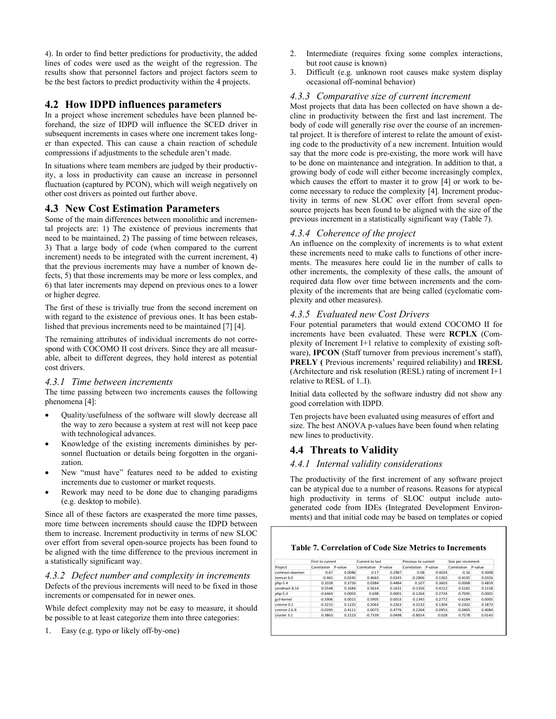4). In order to find better predictions for productivity, the added lines of codes were used as the weight of the regression. The results show that personnel factors and project factors seem to be the best factors to predict productivity within the 4 projects.

### **4.2 How IDPD influences parameters**

In a project whose increment schedules have been planned beforehand, the size of IDPD will influence the SCED driver in subsequent increments in cases where one increment takes longer than expected. This can cause a chain reaction of schedule compressions if adjustments to the schedule aren't made.

In situations where team members are judged by their productivity, a loss in productivity can cause an increase in personnel fluctuation (captured by PCON), which will weigh negatively on other cost drivers as pointed out further above.

### **4.3 New Cost Estimation Parameters**

Some of the main differences between monolithic and incremental projects are: 1) The existence of previous increments that need to be maintained, 2) The passing of time between releases, 3) That a large body of code (when compared to the current increment) needs to be integrated with the current increment, 4) that the previous increments may have a number of known defects, 5) that those increments may be more or less complex, and 6) that later increments may depend on previous ones to a lower or higher degree.

The first of these is trivially true from the second increment on with regard to the existence of previous ones. It has been established that previous increments need to be maintained [7] [4].

The remaining attributes of individual increments do not correspond with COCOMO II cost drivers. Since they are all measurable, albeit to different degrees, they hold interest as potential cost drivers.

#### *4.3.1 Time between increments*

The time passing between two increments causes the following phenomena [4]:

- Quality/usefulness of the software will slowly decrease all the way to zero because a system at rest will not keep pace with technological advances.
- Knowledge of the existing increments diminishes by personnel fluctuation or details being forgotten in the organization.
- New "must have" features need to be added to existing increments due to customer or market requests.
- Rework may need to be done due to changing paradigms (e.g. desktop to mobile).

Since all of these factors are exasperated the more time passes, more time between increments should cause the IDPD between them to increase. Increment productivity in terms of new SLOC over effort from several open-source projects has been found to be aligned with the time difference to the previous increment in a statistically significant way.

#### *4.3.2 Defect number and complexity in increments*  Defects of the previous increments will need to be fixed in those increments or compensated for in newer ones.

While defect complexity may not be easy to measure, it should be possible to at least categorize them into three categories:

1. Easy (e.g. typo or likely off-by-one)

- 2. Intermediate (requires fixing some complex interactions, but root cause is known)
- 3. Difficult (e.g. unknown root causes make system display occasional off-nominal behavior)

### *4.3.3 Comparative size of current increment*

Most projects that data has been collected on have shown a decline in productivity between the first and last increment. The body of code will generally rise over the course of an incremental project. It is therefore of interest to relate the amount of existing code to the productivity of a new increment. Intuition would say that the more code is pre-existing, the more work will have to be done on maintenance and integration. In addition to that, a growing body of code will either become increasingly complex, which causes the effort to master it to grow [4] or work to become necessary to reduce the complexity [4]. Increment productivity in terms of new SLOC over effort from several opensource projects has been found to be aligned with the size of the previous increment in a statistically significant way (Table 7).

## *4.3.4 Coherence of the project*

An influence on the complexity of increments is to what extent these increments need to make calls to functions of other increments. The measures here could lie in the number of calls to other increments, the complexity of these calls, the amount of required data flow over time between increments and the complexity of the increments that are being called (cyclomatic complexity and other measures).

### *4.3.5 Evaluated new Cost Drivers*

Four potential parameters that would extend COCOMO II for increments have been evaluated. These were **RCPLX** (Complexity of Increment I+1 relative to complexity of existing software), **IPCON** (Staff turnover from previous increment's staff), **PRELY (** Previous increments' required reliability) and **IRESL** (Architecture and risk resolution (RESL) rating of increment I+1 relative to RESL of 1..I).

Initial data collected by the software industry did not show any good correlation with IDPD.

Ten projects have been evaluated using measures of effort and size. The best ANOVA p-values have been found when relating new lines to productivity.

# **4.4 Threats to Validity**

#### *4.4.1 Internal validity considerations*

The productivity of the first increment of any software project can be atypical due to a number of reasons. Reasons for atypical high productivity in terms of SLOC output include autogenerated code from IDEs (Integrated Development Environments) and that initial code may be based on templates or copied

#### **Table 7. Correlation of Code Size Metrics to Increments**

| Project       | First to current |         | Current to last |         | Previous to current |         | Size per increment |         |
|---------------|------------------|---------|-----------------|---------|---------------------|---------|--------------------|---------|
|               | Correlation      | P-value | Correlation     | P-value | Correlation         | P-value | Correlation        | P-value |
| common-daemon | $-0.67$          | 0.0086  | 0.17            | 0.2987  | 0.08                | 0.4024  | $-0.16$            | 0.3008  |
| tomcat 6.0    | $-0.465$         | 0.0245  | 0.4663          | 0.0245  | $-0.2806$           | 0.1302  | $-0.4195$          | 0.0326  |
| php-5.4       | 0.1028           | 0.3726  | 0.0384          | 0.4484  | 0.107               | 0.3603  | $-0.0068$          | 0.4859  |
| sendmail 8.14 | 0.5548           | 0.1684  | 0.5614          | 0.1631  | $-0.1356$           | 0.4112  | 0.5181             | 0.1158  |
| $php-5.3$     | $-0.6464$        | 0.0003  | 0.698           | 0.0001  | $-0.1264$           | 0.2724  | $-0.7045$          | 0.0001  |
| esf-kernel    | $-0.5906$        | 0.0015  | 0.5905          | 0.0015  | 0.1345              | 0.2772  | $-0.6184$          | 0.0005  |
| cmirror 0.1   | $-0.3215$        | 0.1225  | 0.2063          | 0.2263  | 0.3132              | 0.1304  | $-0.2302$          | 0.1873  |
| cmirror 2.6.9 | $-0.0395$        | 0.4111  | 0.0073          | 0.4776  | 0.2264              | 0.0953  | $-0.0405$          | 0.4084  |
| cluster 3.1   | 0.3863           | 0.2223  | $-0.7339$       | 0.0498  | $-0.8014$           | 0.028   | 0.7578             | 0.0143  |